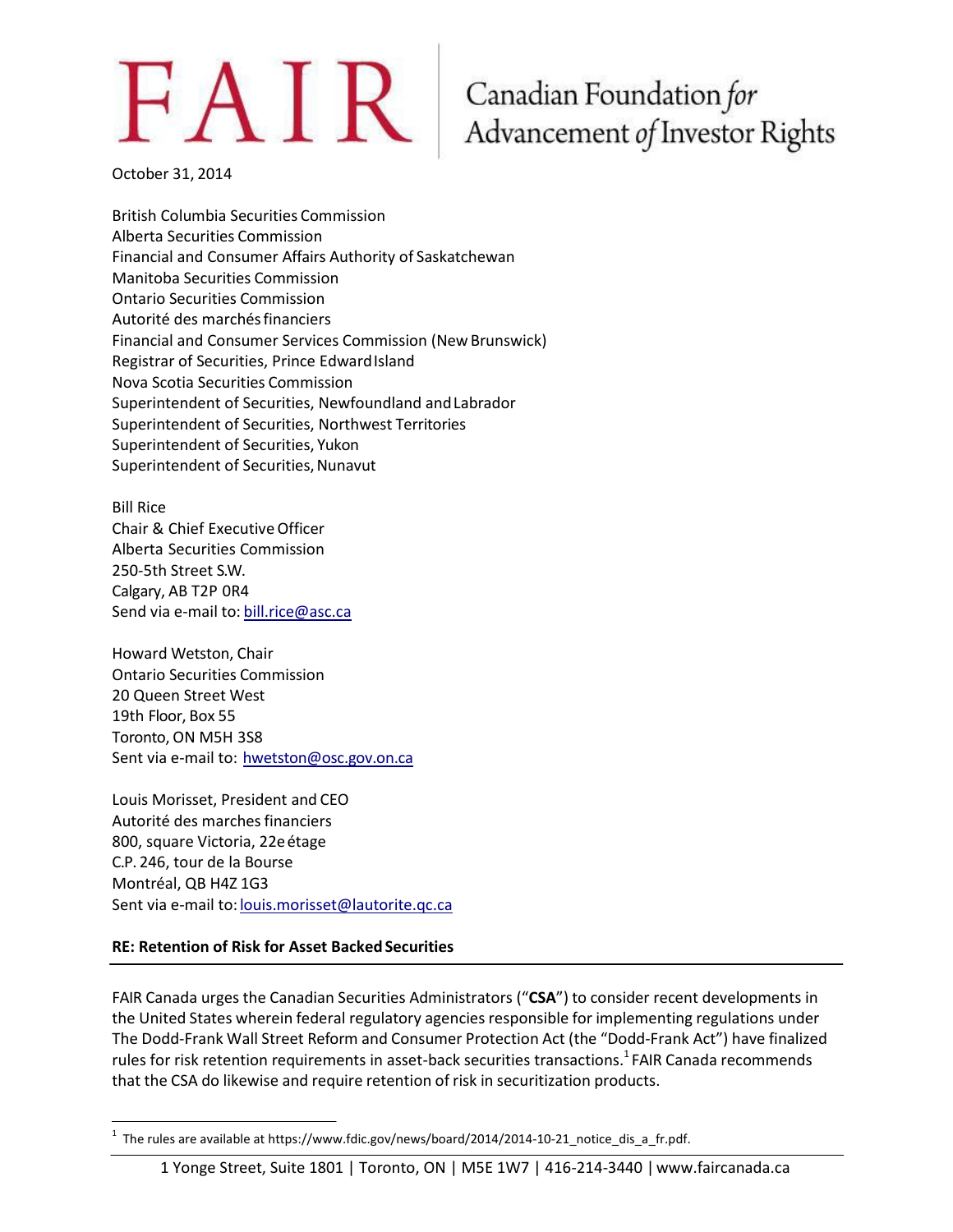# $FAIR$

### Canadian Foundation for Advancement of Investor Rights

October 31, 2014

British Columbia Securities Commission Alberta Securities Commission Financial and Consumer Affairs Authority of Saskatchewan Manitoba Securities Commission Ontario Securities Commission Autorité des marchésfinanciers Financial and Consumer Services Commission (NewBrunswick) Registrar of Securities, Prince Edward Island Nova Scotia Securities Commission Superintendent of Securities, Newfoundland andLabrador Superintendent of Securities, Northwest Territories Superintendent of Securities, Yukon Superintendent of Securities, Nunavut

Bill Rice Chair & Chief ExecutiveOfficer Alberta Securities Commission 250-5th Street S.W. Calgary, AB T2P 0R4 Send via e-mail to: [bill.rice@asc.ca](mailto:bill.rice@asc.ca)

Howard Wetston, Chair Ontario Securities Commission 20 Queen Street West 19th Floor, Box 55 Toronto, ON M5H 3S8 Sent via e-mail to: [hwetston@osc.gov.on.ca](mailto:hwetston@osc.gov.on.ca)

Louis Morisset, President and CEO Autorité des marches financiers 800, square Victoria, 22eétage C.P. 246, tour de la Bourse Montréal, QB H4Z 1G3 Sent via e-mail to: [louis.morisset@lautorite.qc.ca](mailto:louis.morisset@lautorite.qc.ca)

#### **RE: Retention of Risk for Asset Backed Securities**

FAIR Canada urges the Canadian Securities Administrators ("**CSA**") to consider recent developments in the United States wherein federal regulatory agencies responsible for implementing regulations under The Dodd-Frank Wall Street Reform and Consumer Protection Act (the "Dodd-Frank Act") have finalized rules for risk retention requirements in asset-back securities transactions.<sup>1</sup> FAIR Canada recommends that the CSA do likewise and require retention of risk in securitization products.

#### 1 Yonge Street, Suite 1801 | Toronto, ON | M5E 1W7 | 416-214-3440 [|www.faircanada.ca](http://www.faircanada.ca/)

 $1$  The rules are available at https[://www.fdic.gov/news/board/2014/2014-10-21\\_notice\\_dis\\_a\\_fr.pdf.](http://www.fdic.gov/news/board/2014/2014-10-21_notice_dis_a_fr.pdf)